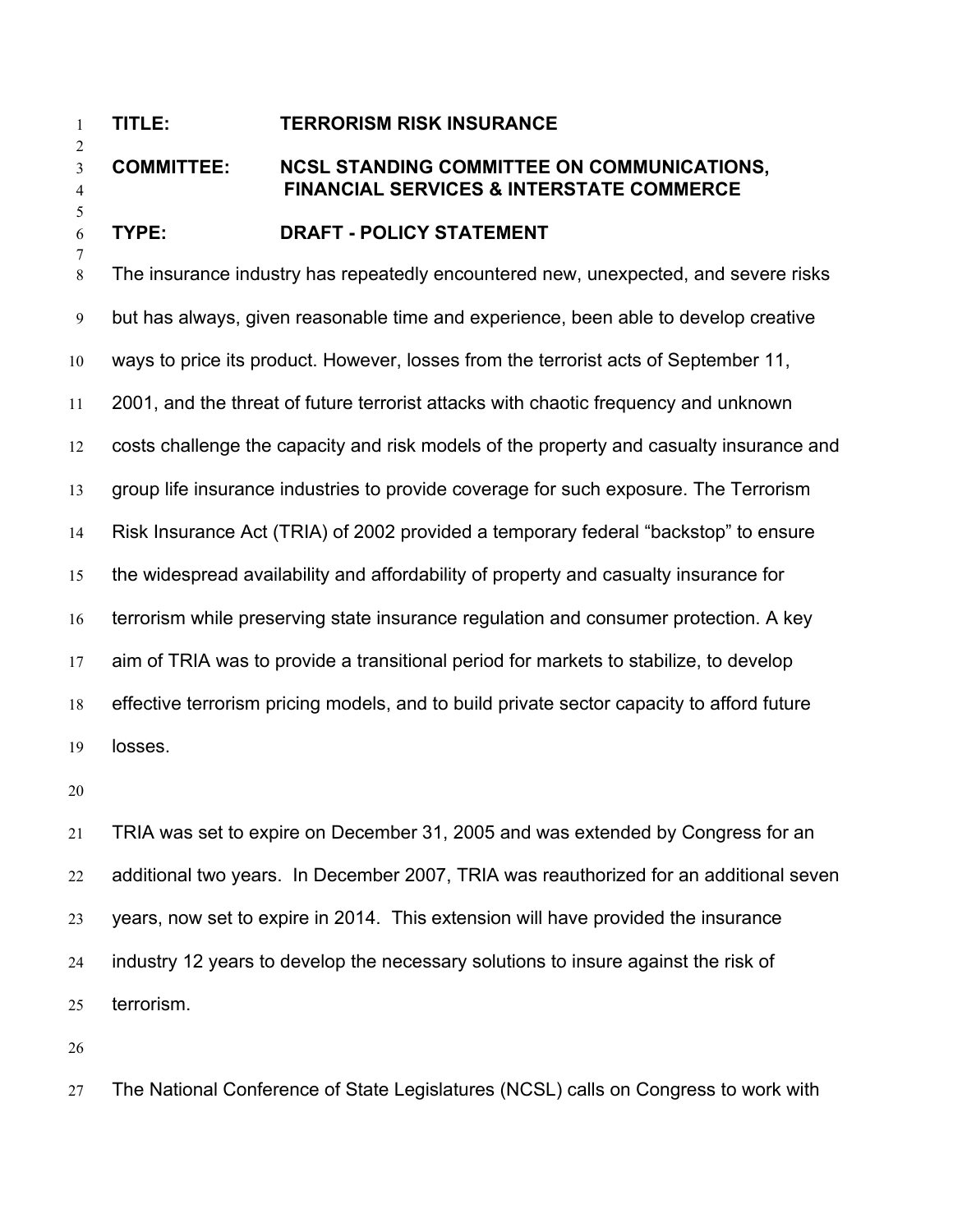## **TITLE: TERRORISM RISK INSURANCE**

## **COMMITTEE: NCSL STANDING COMMITTEE ON COMMUNICATIONS, FINANCIAL SERVICES & INTERSTATE COMMERCE**

## **TYPE: DRAFT - POLICY STATEMENT**

The insurance industry has repeatedly encountered new, unexpected, and severe risks but has always, given reasonable time and experience, been able to develop creative ways to price its product. However, losses from the terrorist acts of September 11, 2001, and the threat of future terrorist attacks with chaotic frequency and unknown costs challenge the capacity and risk models of the property and casualty insurance and group life insurance industries to provide coverage for such exposure. The Terrorism Risk Insurance Act (TRIA) of 2002 provided a temporary federal "backstop" to ensure the widespread availability and affordability of property and casualty insurance for terrorism while preserving state insurance regulation and consumer protection. A key aim of TRIA was to provide a transitional period for markets to stabilize, to develop effective terrorism pricing models, and to build private sector capacity to afford future losses.

TRIA was set to expire on December 31, 2005 and was extended by Congress for an additional two years. In December 2007, TRIA was reauthorized for an additional seven years, now set to expire in 2014. This extension will have provided the insurance industry 12 years to develop the necessary solutions to insure against the risk of terrorism.

The National Conference of State Legislatures (NCSL) calls on Congress to work with